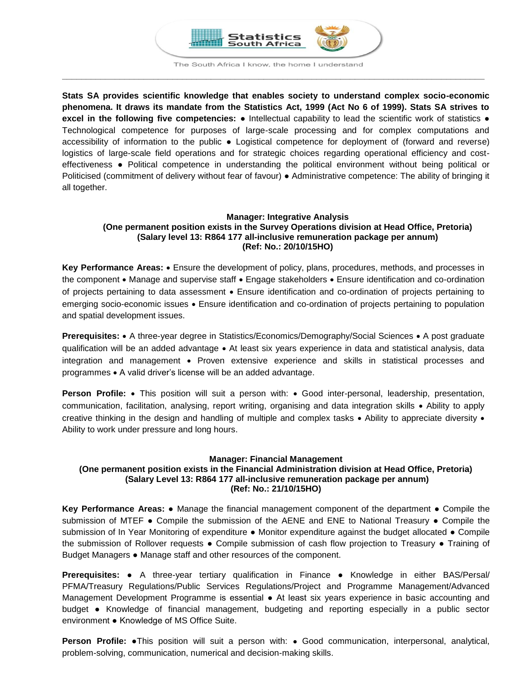

The South Africa I know, the home I understand **\_\_\_\_\_\_\_\_\_\_\_\_\_\_\_\_\_\_\_\_\_\_\_\_\_\_\_\_\_\_\_\_\_\_\_\_\_\_\_\_\_\_\_\_\_\_\_\_\_\_\_\_\_\_\_\_\_\_\_\_\_\_\_\_\_\_\_\_\_\_\_\_\_\_\_\_\_\_\_\_\_\_\_\_\_\_\_\_**

**Stats SA provides scientific knowledge that enables society to understand complex socio-economic phenomena. It draws its mandate from the Statistics Act, 1999 (Act No 6 of 1999). Stats SA strives to excel in the following five competencies:** ● Intellectual capability to lead the scientific work of statistics ● Technological competence for purposes of large-scale processing and for complex computations and accessibility of information to the public ● Logistical competence for deployment of (forward and reverse) logistics of large-scale field operations and for strategic choices regarding operational efficiency and costeffectiveness ● Political competence in understanding the political environment without being political or Politicised (commitment of delivery without fear of favour) ● Administrative competence: The ability of bringing it all together.

# **Manager: Integrative Analysis (One permanent position exists in the Survey Operations division at Head Office, Pretoria) (Salary level 13: R864 177 all-inclusive remuneration package per annum) (Ref: No.: 20/10/15HO)**

**Key Performance Areas:** Ensure the development of policy, plans, procedures, methods, and processes in the component • Manage and supervise staff • Engage stakeholders • Ensure identification and co-ordination of projects pertaining to data assessment • Ensure identification and co-ordination of projects pertaining to emerging socio-economic issues Ensure identification and co-ordination of projects pertaining to population and spatial development issues.

**Prerequisites:** • A three-year degree in Statistics/Economics/Demography/Social Sciences • A post graduate qualification will be an added advantage • At least six years experience in data and statistical analysis, data integration and management • Proven extensive experience and skills in statistical processes and programmes A valid driver's license will be an added advantage.

**Person Profile:** • This position will suit a person with: • Good inter-personal, leadership, presentation, communication, facilitation, analysing, report writing, organising and data integration skills Ability to apply creative thinking in the design and handling of multiple and complex tasks  $\bullet$  Ability to appreciate diversity  $\bullet$ Ability to work under pressure and long hours.

# **Manager: Financial Management**

# **(One permanent position exists in the Financial Administration division at Head Office, Pretoria) (Salary Level 13: R864 177 all-inclusive remuneration package per annum) (Ref: No.: 21/10/15HO)**

**Key Performance Areas:** ● Manage the financial management component of the department ● Compile the submission of MTEF • Compile the submission of the AENE and ENE to National Treasury • Compile the submission of In Year Monitoring of expenditure • Monitor expenditure against the budget allocated • Compile the submission of Rollover requests ● Compile submission of cash flow projection to Treasury ● Training of Budget Managers ● Manage staff and other resources of the component.

**Prerequisites:** ● A three-year tertiary qualification in Finance ● Knowledge in either BAS/Persal/ PFMA/Treasury Regulations/Public Services Regulations/Project and Programme Management/Advanced Management Development Programme is essential ● At least six years experience in basic accounting and budget ● Knowledge of financial management, budgeting and reporting especially in a public sector environment ● Knowledge of MS Office Suite.

**Person Profile:** ●This position will suit a person with: Good communication, interpersonal, analytical, problem-solving, communication, numerical and decision-making skills.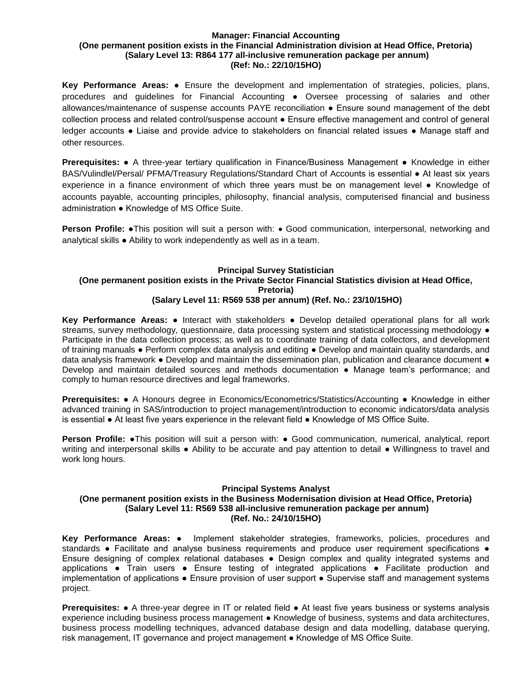#### **Manager: Financial Accounting (One permanent position exists in the Financial Administration division at Head Office, Pretoria) (Salary Level 13: R864 177 all-inclusive remuneration package per annum) (Ref: No.: 22/10/15HO)**

**Key Performance Areas:** ● Ensure the development and implementation of strategies, policies, plans, procedures and guidelines for Financial Accounting ● Oversee processing of salaries and other allowances/maintenance of suspense accounts PAYE reconciliation ● Ensure sound management of the debt collection process and related control/suspense account ● Ensure effective management and control of general ledger accounts ● Liaise and provide advice to stakeholders on financial related issues ● Manage staff and other resources.

**Prerequisites:** ● A three-year tertiary qualification in Finance/Business Management ● Knowledge in either BAS/Vulindlel/Persal/ PFMA/Treasury Regulations/Standard Chart of Accounts is essential ● At least six years experience in a finance environment of which three years must be on management level ● Knowledge of accounts payable, accounting principles, philosophy, financial analysis, computerised financial and business administration ● Knowledge of MS Office Suite.

**Person Profile:** •This position will suit a person with: • Good communication, interpersonal, networking and analytical skills ● Ability to work independently as well as in a team.

#### **Principal Survey Statistician (One permanent position exists in the Private Sector Financial Statistics division at Head Office, Pretoria) (Salary Level 11: R569 538 per annum) (Ref. No.: 23/10/15HO)**

**Key Performance Areas:** ● Interact with stakeholders ● Develop detailed operational plans for all work streams, survey methodology, questionnaire, data processing system and statistical processing methodology  $\bullet$ Participate in the data collection process; as well as to coordinate training of data collectors, and development of training manuals ● Perform complex data analysis and editing ● Develop and maintain quality standards, and data analysis framework ● Develop and maintain the dissemination plan, publication and clearance document ● Develop and maintain detailed sources and methods documentation ● Manage team's performance; and comply to human resource directives and legal frameworks.

**Prerequisites:** ● A Honours degree in Economics/Econometrics/Statistics/Accounting ● Knowledge in either advanced training in SAS/introduction to project management/introduction to economic indicators/data analysis is essential ● At least five years experience in the relevant field ● Knowledge of MS Office Suite.

**Person Profile: •**This position will suit a person with: • Good communication, numerical, analytical, report writing and interpersonal skills ● Ability to be accurate and pay attention to detail ● Willingness to travel and work long hours.

# **Principal Systems Analyst**

# **(One permanent position exists in the Business Modernisation division at Head Office, Pretoria) (Salary Level 11: R569 538 all-inclusive remuneration package per annum) (Ref. No.: 24/10/15HO)**

**Key Performance Areas:** ● Implement stakeholder strategies, frameworks, policies, procedures and standards • Facilitate and analyse business requirements and produce user requirement specifications • Ensure designing of complex relational databases ● Design complex and quality integrated systems and applications ● Train users ● Ensure testing of integrated applications ● Facilitate production and implementation of applications ● Ensure provision of user support ● Supervise staff and management systems project.

**Prerequisites:** ● A three-year degree in IT or related field ● At least five years business or systems analysis experience including business process management ● Knowledge of business, systems and data architectures, business process modelling techniques, advanced database design and data modelling, database querying, risk management, IT governance and project management ● Knowledge of MS Office Suite.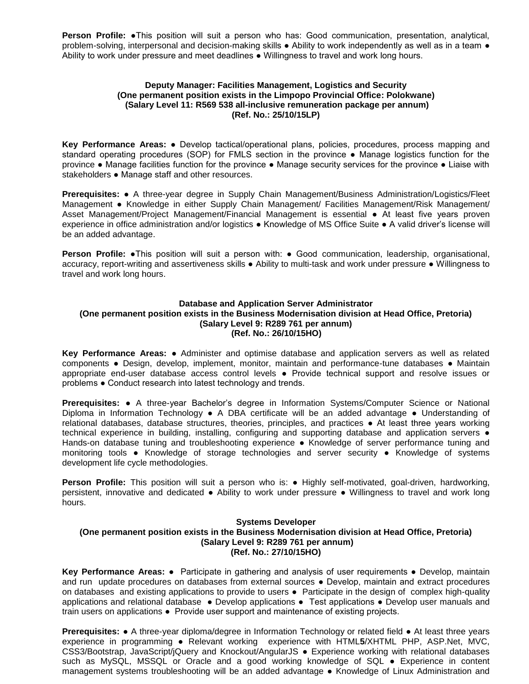**Person Profile:** ●This position will suit a person who has: Good communication, presentation, analytical, problem-solving, interpersonal and decision-making skills ● Ability to work independently as well as in a team ● Ability to work under pressure and meet deadlines ● Willingness to travel and work long hours.

## **Deputy Manager: Facilities Management, Logistics and Security (One permanent position exists in the Limpopo Provincial Office: Polokwane) (Salary Level 11: R569 538 all-inclusive remuneration package per annum) (Ref. No.: 25/10/15LP)**

**Key Performance Areas:** ● Develop tactical/operational plans, policies, procedures, process mapping and standard operating procedures (SOP) for FMLS section in the province • Manage logistics function for the province ● Manage facilities function for the province ● Manage security services for the province ● Liaise with stakeholders ● Manage staff and other resources.

**Prerequisites:** ● A three-year degree in Supply Chain Management/Business Administration/Logistics/Fleet Management ● Knowledge in either Supply Chain Management/ Facilities Management/Risk Management/ Asset Management/Project Management/Financial Management is essential ● At least five years proven experience in office administration and/or logistics ● Knowledge of MS Office Suite ● A valid driver's license will be an added advantage.

**Person Profile:** ●This position will suit a person with: ● Good communication, leadership, organisational, accuracy, report-writing and assertiveness skills ● Ability to multi-task and work under pressure ● Willingness to travel and work long hours.

# **Database and Application Server Administrator (One permanent position exists in the Business Modernisation division at Head Office, Pretoria) (Salary Level 9: R289 761 per annum) (Ref. No.: 26/10/15HO)**

**Key Performance Areas:** ● Administer and optimise database and application servers as well as related components ● Design, develop, implement, monitor, maintain and performance-tune databases ● Maintain appropriate end-user database access control levels ● Provide technical support and resolve issues or problems ● Conduct research into latest technology and trends.

**Prerequisites:** ● A three-year Bachelor's degree in Information Systems/Computer Science or National Diploma in Information Technology ● A DBA certificate will be an added advantage ● Understanding of relational databases, database structures, theories, principles, and practices ● At least three years working technical experience in building, installing, configuring and supporting database and application servers ● Hands-on database tuning and troubleshooting experience • Knowledge of server performance tuning and monitoring tools ● Knowledge of storage technologies and server security ● Knowledge of systems development life cycle methodologies.

**Person Profile:** This position will suit a person who is: ● Highly self-motivated, goal-driven, hardworking, persistent, innovative and dedicated ● Ability to work under pressure ● Willingness to travel and work long hours.

# **Systems Developer (One permanent position exists in the Business Modernisation division at Head Office, Pretoria) (Salary Level 9: R289 761 per annum) (Ref. No.: 27/10/15HO)**

**Key Performance Areas:** ● Participate in gathering and analysis of user requirements ● Develop, maintain and run update procedures on databases from external sources ● Develop, maintain and extract procedures on databases and existing applications to provide to users · Participate in the design of complex high-quality applications and relational database ● Develop applications ● Test applications ● Develop user manuals and train users on applications ● Provide user support and maintenance of existing projects.

**Prerequisites:** ● A three-year diploma/degree in Information Technology or related field ● At least three years experience in programming ● Relevant working experience with HTML**5**/XHTML PHP, ASP.Net, MVC, CSS3/Bootstrap, JavaScript/jQuery and Knockout/AngularJS ● Experience working with relational databases such as MySQL, MSSQL or Oracle and a good working knowledge of SQL ● Experience in content management systems troubleshooting will be an added advantage ● Knowledge of Linux Administration and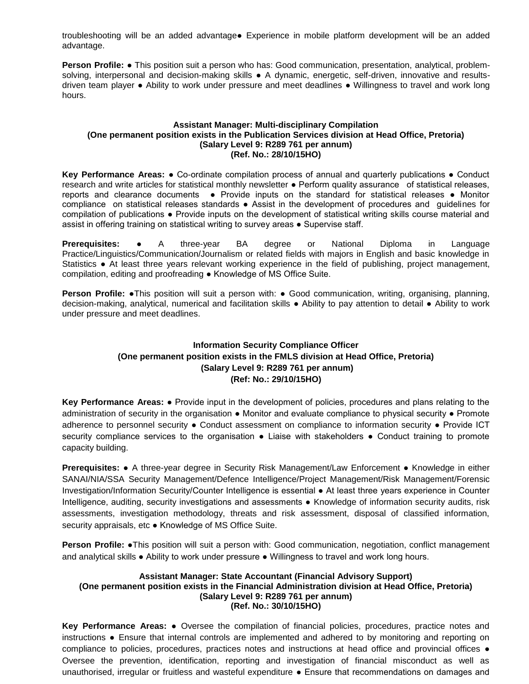troubleshooting will be an added advantage● Experience in mobile platform development will be an added advantage.

**Person Profile:** ● This position suit a person who has: Good communication, presentation, analytical, problemsolving, interpersonal and decision-making skills • A dynamic, energetic, self-driven, innovative and resultsdriven team player ● Ability to work under pressure and meet deadlines ● Willingness to travel and work long hours.

# **Assistant Manager: Multi-disciplinary Compilation (One permanent position exists in the Publication Services division at Head Office, Pretoria) (Salary Level 9: R289 761 per annum) (Ref. No.: 28/10/15HO)**

**Key Performance Areas:** ● Co-ordinate compilation process of annual and quarterly publications ● Conduct research and write articles for statistical monthly newsletter ● Perform quality assurance of statistical releases, reports and clearance documents . Provide inputs on the standard for statistical releases . Monitor compliance on statistical releases standards ● Assist in the development of procedures and guidelines for compilation of publications ● Provide inputs on the development of statistical writing skills course material and assist in offering training on statistical writing to survey areas ● Supervise staff.

**Prerequisites:** ● A three-year BA degree or National Diploma in Language Practice/Linguistics/Communication/Journalism or related fields with majors in English and basic knowledge in Statistics ● At least three years relevant working experience in the field of publishing, project management, compilation, editing and proofreading ● Knowledge of MS Office Suite.

**Person Profile: •**This position will suit a person with: • Good communication, writing, organising, planning, decision-making, analytical, numerical and facilitation skills ● Ability to pay attention to detail ● Ability to work under pressure and meet deadlines.

# **Information Security Compliance Officer (One permanent position exists in the FMLS division at Head Office, Pretoria) (Salary Level 9: R289 761 per annum) (Ref: No.: 29/10/15HO)**

**Key Performance Areas:** ● Provide input in the development of policies, procedures and plans relating to the administration of security in the organisation • Monitor and evaluate compliance to physical security • Promote adherence to personnel security ● Conduct assessment on compliance to information security ● Provide ICT security compliance services to the organisation • Liaise with stakeholders • Conduct training to promote capacity building.

**Prerequisites:** ● A three-year degree in Security Risk Management/Law Enforcement ● Knowledge in either SANAI/NIA/SSA Security Management/Defence Intelligence/Project Management/Risk Management/Forensic Investigation/Information Security/Counter Intelligence is essential ● At least three years experience in Counter Intelligence, auditing, security investigations and assessments ● Knowledge of information security audits, risk assessments, investigation methodology, threats and risk assessment, disposal of classified information, security appraisals, etc ● Knowledge of MS Office Suite.

**Person Profile:** ●This position will suit a person with: Good communication, negotiation, conflict management and analytical skills ● Ability to work under pressure ● Willingness to travel and work long hours.

## **Assistant Manager: State Accountant (Financial Advisory Support) (One permanent position exists in the Financial Administration division at Head Office, Pretoria) (Salary Level 9: R289 761 per annum) (Ref. No.: 30/10/15HO)**

**Key Performance Areas:** ● Oversee the compilation of financial policies, procedures, practice notes and instructions ● Ensure that internal controls are implemented and adhered to by monitoring and reporting on compliance to policies, procedures, practices notes and instructions at head office and provincial offices ● Oversee the prevention, identification, reporting and investigation of financial misconduct as well as unauthorised, irregular or fruitless and wasteful expenditure ● Ensure that recommendations on damages and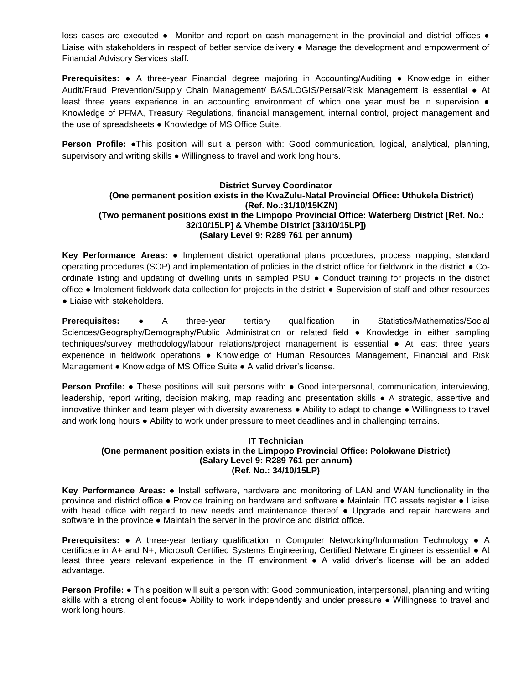loss cases are executed • Monitor and report on cash management in the provincial and district offices • Liaise with stakeholders in respect of better service delivery ● Manage the development and empowerment of Financial Advisory Services staff.

**Prerequisites:** ● A three-year Financial degree majoring in Accounting/Auditing ● Knowledge in either Audit/Fraud Prevention/Supply Chain Management/ BAS/LOGIS/Persal/Risk Management is essential ● At least three years experience in an accounting environment of which one year must be in supervision  $\bullet$ Knowledge of PFMA, Treasury Regulations, financial management, internal control, project management and the use of spreadsheets ● Knowledge of MS Office Suite.

**Person Profile:** ●This position will suit a person with: Good communication, logical, analytical, planning, supervisory and writing skills  $\bullet$  Willingness to travel and work long hours.

# **District Survey Coordinator (One permanent position exists in the KwaZulu-Natal Provincial Office: Uthukela District) (Ref. No.:31/10/15KZN) (Two permanent positions exist in the Limpopo Provincial Office: Waterberg District [Ref. No.: 32/10/15LP] & Vhembe District [33/10/15LP]) (Salary Level 9: R289 761 per annum)**

**Key Performance Areas:** ● Implement district operational plans procedures, process mapping, standard operating procedures (SOP) and implementation of policies in the district office for fieldwork in the district ● Coordinate listing and updating of dwelling units in sampled PSU ● Conduct training for projects in the district office ● Implement fieldwork data collection for projects in the district ● Supervision of staff and other resources • Liaise with stakeholders.

**Prerequisites:** • A three-year tertiary qualification in Statistics/Mathematics/Social Sciences/Geography/Demography/Public Administration or related field ● Knowledge in either sampling techniques/survey methodology/labour relations/project management is essential ● At least three years experience in fieldwork operations ● Knowledge of Human Resources Management, Financial and Risk Management ● Knowledge of MS Office Suite ● A valid driver's license.

**Person Profile:** • These positions will suit persons with: • Good interpersonal, communication, interviewing, leadership, report writing, decision making, map reading and presentation skills ● A strategic, assertive and innovative thinker and team player with diversity awareness ● Ability to adapt to change ● Willingness to travel and work long hours ● Ability to work under pressure to meet deadlines and in challenging terrains.

# **IT Technician (One permanent position exists in the Limpopo Provincial Office: Polokwane District) (Salary Level 9: R289 761 per annum) (Ref. No.: 34/10/15LP)**

**Key Performance Areas:** ● Install software, hardware and monitoring of LAN and WAN functionality in the province and district office ● Provide training on hardware and software ● Maintain ITC assets register ● Liaise with head office with regard to new needs and maintenance thereof • Upgrade and repair hardware and software in the province ● Maintain the server in the province and district office.

**Prerequisites:** ● A three-year tertiary qualification in Computer Networking/Information Technology ● A certificate in A+ and N+, Microsoft Certified Systems Engineering, Certified Netware Engineer is essential ● At least three years relevant experience in the IT environment ● A valid driver's license will be an added advantage.

**Person Profile:** ● This position will suit a person with: Good communication, interpersonal, planning and writing skills with a strong client focus● Ability to work independently and under pressure ● Willingness to travel and work long hours.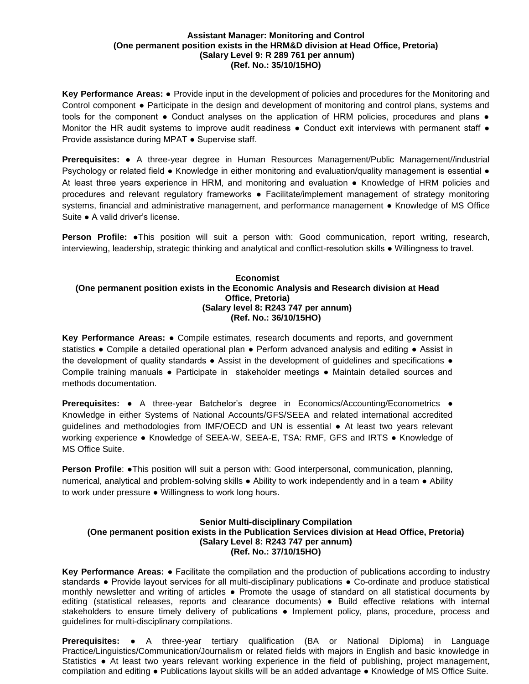#### **Assistant Manager: Monitoring and Control (One permanent position exists in the HRM&D division at Head Office, Pretoria) (Salary Level 9: R 289 761 per annum) (Ref. No.: 35/10/15HO)**

**Key Performance Areas:** ● Provide input in the development of policies and procedures for the Monitoring and Control component ● Participate in the design and development of monitoring and control plans, systems and tools for the component • Conduct analyses on the application of HRM policies, procedures and plans • Monitor the HR audit systems to improve audit readiness . Conduct exit interviews with permanent staff . Provide assistance during MPAT ● Supervise staff.

**Prerequisites:** ● A three-year degree in Human Resources Management/Public Management//industrial Psychology or related field ● Knowledge in either monitoring and evaluation/quality management is essential ● At least three years experience in HRM, and monitoring and evaluation ● Knowledge of HRM policies and procedures and relevant regulatory frameworks ● Facilitate/implement management of strategy monitoring systems, financial and administrative management, and performance management • Knowledge of MS Office Suite ● A valid driver's license.

**Person Profile:** •This position will suit a person with: Good communication, report writing, research, interviewing, leadership, strategic thinking and analytical and conflict-resolution skills ● Willingness to travel.

# **Economist (One permanent position exists in the Economic Analysis and Research division at Head Office, Pretoria) (Salary level 8: R243 747 per annum) (Ref. No.: 36/10/15HO)**

**Key Performance Areas:** ● Compile estimates, research documents and reports, and government statistics ● Compile a detailed operational plan ● Perform advanced analysis and editing ● Assist in the development of quality standards • Assist in the development of guidelines and specifications • Compile training manuals ● Participate in stakeholder meetings ● Maintain detailed sources and methods documentation.

**Prerequisites:** ● A three-year Batchelor's degree in Economics/Accounting/Econometrics ● Knowledge in either Systems of National Accounts/GFS/SEEA and related international accredited guidelines and methodologies from IMF/OECD and UN is essential ● At least two years relevant working experience • Knowledge of SEEA-W, SEEA-E, TSA: RMF, GFS and IRTS • Knowledge of MS Office Suite.

**Person Profile: •This position will suit a person with: Good interpersonal, communication, planning,** numerical, analytical and problem-solving skills ● Ability to work independently and in a team ● Ability to work under pressure ● Willingness to work long hours.

# **Senior Multi-disciplinary Compilation (One permanent position exists in the Publication Services division at Head Office, Pretoria) (Salary Level 8: R243 747 per annum) (Ref. No.: 37/10/15HO)**

**Key Performance Areas:** ● Facilitate the compilation and the production of publications according to industry standards ● Provide layout services for all multi-disciplinary publications ● Co-ordinate and produce statistical monthly newsletter and writing of articles ● Promote the usage of standard on all statistical documents by editing (statistical releases, reports and clearance documents) ● Build effective relations with internal stakeholders to ensure timely delivery of publications • Implement policy, plans, procedure, process and guidelines for multi-disciplinary compilations.

**Prerequisites:** ● A three-year tertiary qualification (BA or National Diploma) in Language Practice/Linguistics/Communication/Journalism or related fields with majors in English and basic knowledge in Statistics ● At least two years relevant working experience in the field of publishing, project management, compilation and editing ● Publications layout skills will be an added advantage ● Knowledge of MS Office Suite.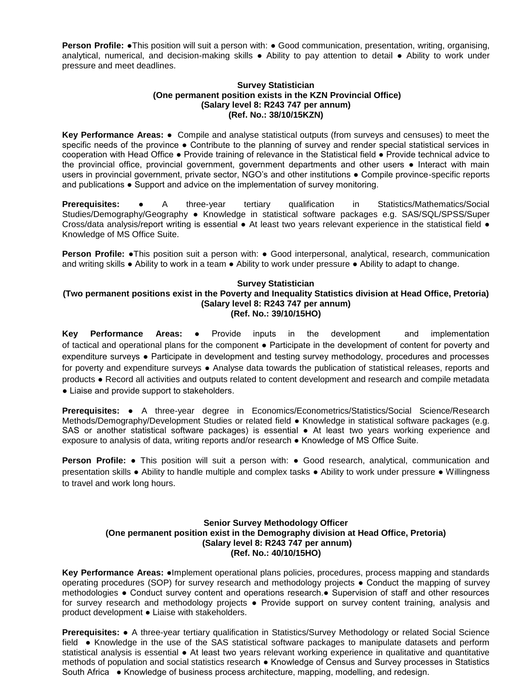**Person Profile: •**This position will suit a person with: • Good communication, presentation, writing, organising, analytical, numerical, and decision-making skills ● Ability to pay attention to detail ● Ability to work under pressure and meet deadlines.

# **Survey Statistician (One permanent position exists in the KZN Provincial Office) (Salary level 8: R243 747 per annum) (Ref. No.: 38/10/15KZN)**

**Key Performance Areas:** ● Compile and analyse statistical outputs (from surveys and censuses) to meet the specific needs of the province • Contribute to the planning of survey and render special statistical services in cooperation with Head Office ● Provide training of relevance in the Statistical field ● Provide technical advice to the provincial office, provincial government, government departments and other users ● Interact with main users in provincial government, private sector, NGO's and other institutions • Compile province-specific reports and publications ● Support and advice on the implementation of survey monitoring.

**Prerequisites:** • A three-year tertiary qualification in Statistics/Mathematics/Social Studies/Demography/Geography ● Knowledge in statistical software packages e.g. SAS/SQL/SPSS/Super Cross/data analysis/report writing is essential ● At least two years relevant experience in the statistical field ● Knowledge of MS Office Suite.

**Person Profile: •**This position suit a person with: • Good interpersonal, analytical, research, communication and writing skills ● Ability to work in a team ● Ability to work under pressure ● Ability to adapt to change.

# **Survey Statistician**

#### **(Two permanent positions exist in the Poverty and Inequality Statistics division at Head Office, Pretoria) (Salary level 8: R243 747 per annum) (Ref. No.: 39/10/15HO)**

**Key Performance Areas:** ● Provide inputs in the development and implementation of tactical and operational plans for the component ● Participate in the development of content for poverty and expenditure surveys ● Participate in development and testing survey methodology, procedures and processes for poverty and expenditure surveys • Analyse data towards the publication of statistical releases, reports and products ● Record all activities and outputs related to content development and research and compile metadata • Liaise and provide support to stakeholders.

**Prerequisites: ●** A three-year degree in Economics/Econometrics/Statistics/Social Science/Research Methods/Demography/Development Studies or related field ● Knowledge in statistical software packages (e.g. SAS or another statistical software packages) is essential ● At least two years working experience and exposure to analysis of data, writing reports and/or research ● Knowledge of MS Office Suite.

**Person Profile:** ● This position will suit a person with: ● Good research, analytical, communication and presentation skills ● Ability to handle multiple and complex tasks ● Ability to work under pressure ● Willingness to travel and work long hours.

## **Senior Survey Methodology Officer (One permanent position exist in the Demography division at Head Office, Pretoria) (Salary level 8: R243 747 per annum) (Ref. No.: 40/10/15HO)**

**Key Performance Areas:** ●Implement operational plans policies, procedures, process mapping and standards operating procedures (SOP) for survey research and methodology projects ● Conduct the mapping of survey methodologies ● Conduct survey content and operations research.● Supervision of staff and other resources for survey research and methodology projects . Provide support on survey content training, analysis and product development ● Liaise with stakeholders.

**Prerequisites:** ● A three-year tertiary qualification in Statistics/Survey Methodology or related Social Science field ● Knowledge in the use of the SAS statistical software packages to manipulate datasets and perform statistical analysis is essential • At least two years relevant working experience in qualitative and quantitative methods of population and social statistics research ● Knowledge of Census and Survey processes in Statistics South Africa ● Knowledge of business process architecture, mapping, modelling, and redesign.